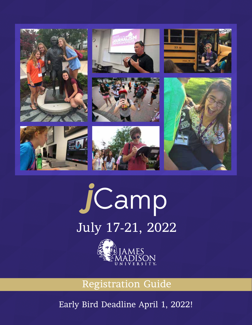

# **j**Camp July 17-21, 2022



Registration Guide

Early Bird Deadline April 1, 2022!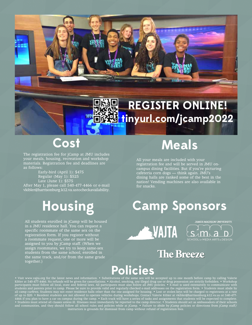#### **REGISTER ONLINE! tinyurl.com/jcamp2022**

### **Cost**

The registration fee for jCamp at JMU includes your meals, housing, recreation and workshop materials. Registration fee and deadlines are as follows:

> Early-bird (April 1): \$475 Regular (May 1): \$525 Late (June 1): \$575

After May 1, please call 540-477-4466 or e-mail vkibler@harrisonburg.k12.va.us to check availability.

## **Housing**

All students enrolled in jCamp will be housed in a JMU residence hall. You can request a specific roommate of the same sex on the registration form. If you register without a roommate request, one or more will be assigned to you by jCamp staff. (When we assign roommates, we try to keep same-sex students from the same school, enrolled in the same track, and/or from the same grade together.)

### **Meals**

All your meals are included with your registration fee and will be served in JMU oncampus dining facilities. But if you're picturing cafeteria corn dogs — think again. JMU's dining halls are ranked some of the best in the nation! Vending machines are also available in for snacks.

### **Camp Sponsors**

**WAJTA** 



#### **The Breeze**

#### **Policies**

Gilbin

• Visit www.vajta.org for the latest news and information. • Substitutions of the same sex will be accepted up to one month before camp by calling Valerie Kibler at 540-477-4466. No refunds will be given for cancellations. • Alcohol, smoking, any illegal drug use or drug possession are strictly forbidden. • Workshop participants must follow all local, state and federal laws. All participants must also follow all JMU policies. • E-mail is used extensively to communicate with students and parents prior to camp. Please be sure to provide valid and regularly checked e-mail addresses on the registration form. • Students must abide by all camp curfews. Students may not enter residence halls other than the one assigned for housing. • Lost or stolen keys will be charged to registrants at a rate of up to \$20. • Resident students are not allowed to operate vehicles during workshops. Contact Valerie Kibler at vkibler@harrisonburg.k12.va.us or 540-477- 4466 if you plan to have a car on campus during the camp. • Each track will have a series of tasks and assignments that students will be expected to complete. • Students must attend all classes unless ill. Illnesses must immediately be reported to the camp director. • Students should act as ambassadors of their schools and communities, and they should follow all school rules and policies while at jCamp. • Failure to abide by jCamp policies or directions from jCamp staff/ instructors is grounds for dismissal from camp without refund of registration fees.